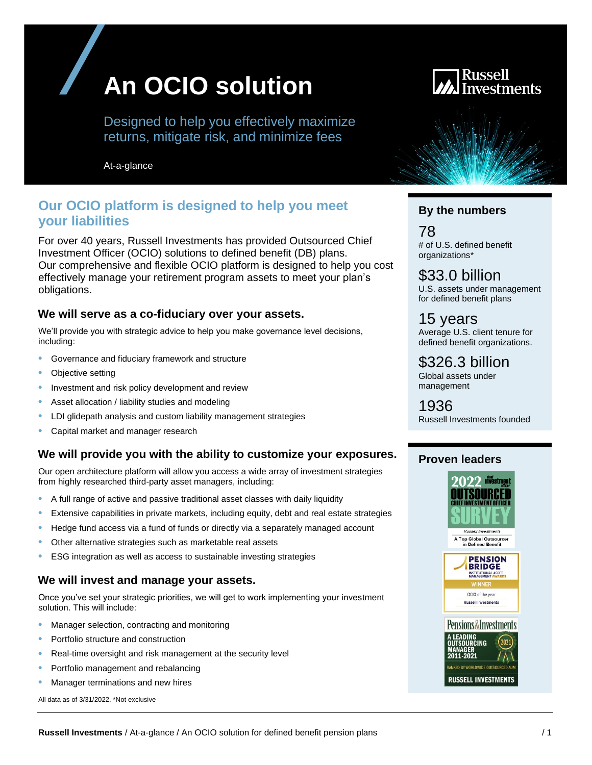

Designed to help you effectively maximize returns, mitigate risk, and minimize fees

At-a-glance

# **Our OCIO platform is designed to help you meet your liabilities**

For over 40 years, Russell Investments has provided Outsourced Chief Investment Officer (OCIO) solutions to defined benefit (DB) plans. Our comprehensive and flexible OCIO platform is designed to help you cost effectively manage your retirement program assets to meet your plan's obligations.

#### **We will serve as a co-fiduciary over your assets.**

We'll provide you with strategic advice to help you make governance level decisions, including:

- Governance and fiduciary framework and structure
- Objective setting
- Investment and risk policy development and review
- Asset allocation / liability studies and modeling
- LDI glidepath analysis and custom liability management strategies
- Capital market and manager research

## **We will provide you with the ability to customize your exposures.**

Our open architecture platform will allow you access a wide array of investment strategies from highly researched third-party asset managers, including:

- A full range of active and passive traditional asset classes with daily liquidity
- Extensive capabilities in private markets, including equity, debt and real estate strategies
- Hedge fund access via a fund of funds or directly via a separately managed account
- Other alternative strategies such as marketable real assets
- ESG integration as well as access to sustainable investing strategies

#### **We will invest and manage your assets.**

Once you've set your strategic priorities, we will get to work implementing your investment solution. This will include:

- Manager selection, contracting and monitoring
- Portfolio structure and construction
- Real-time oversight and risk management at the security level
- Portfolio management and rebalancing
- Manager terminations and new hires

All data as of 3/31/2022. \*Not exclusive



#### **By the numbers**

78 # of U.S. defined benefit organizations\*

\$33.0 billion U.S. assets under management for defined benefit plans

15 years Average U.S. client tenure for defined benefit organizations.

\$326.3 billion Global assets under management

1936 Russell Investments founded

#### **Proven leaders**